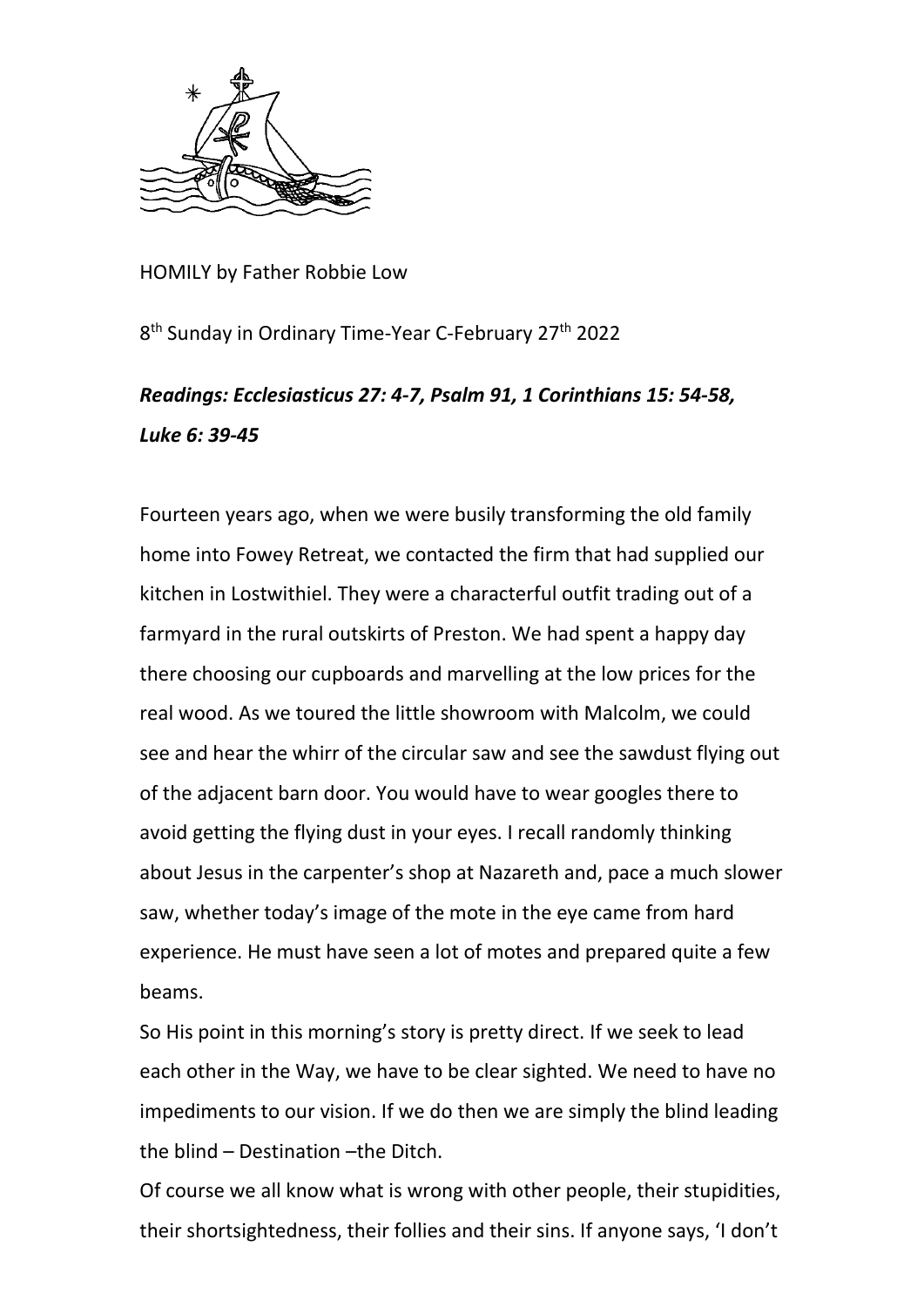

HOMILY by Father Robbie Low

8<sup>th</sup> Sunday in Ordinary Time-Year C-February 27<sup>th</sup> 2022

## *Readings: Ecclesiasticus 27: 4-7, Psalm 91, 1 Corinthians 15: 54-58, Luke 6: 39-45*

Fourteen years ago, when we were busily transforming the old family home into Fowey Retreat, we contacted the firm that had supplied our kitchen in Lostwithiel. They were a characterful outfit trading out of a farmyard in the rural outskirts of Preston. We had spent a happy day there choosing our cupboards and marvelling at the low prices for the real wood. As we toured the little showroom with Malcolm, we could see and hear the whirr of the circular saw and see the sawdust flying out of the adjacent barn door. You would have to wear googles there to avoid getting the flying dust in your eyes. I recall randomly thinking about Jesus in the carpenter's shop at Nazareth and, pace a much slower saw, whether today's image of the mote in the eye came from hard experience. He must have seen a lot of motes and prepared quite a few beams.

So His point in this morning's story is pretty direct. If we seek to lead each other in the Way, we have to be clear sighted. We need to have no impediments to our vision. If we do then we are simply the blind leading the blind – Destination –the Ditch.

Of course we all know what is wrong with other people, their stupidities, their shortsightedness, their follies and their sins. If anyone says, 'I don't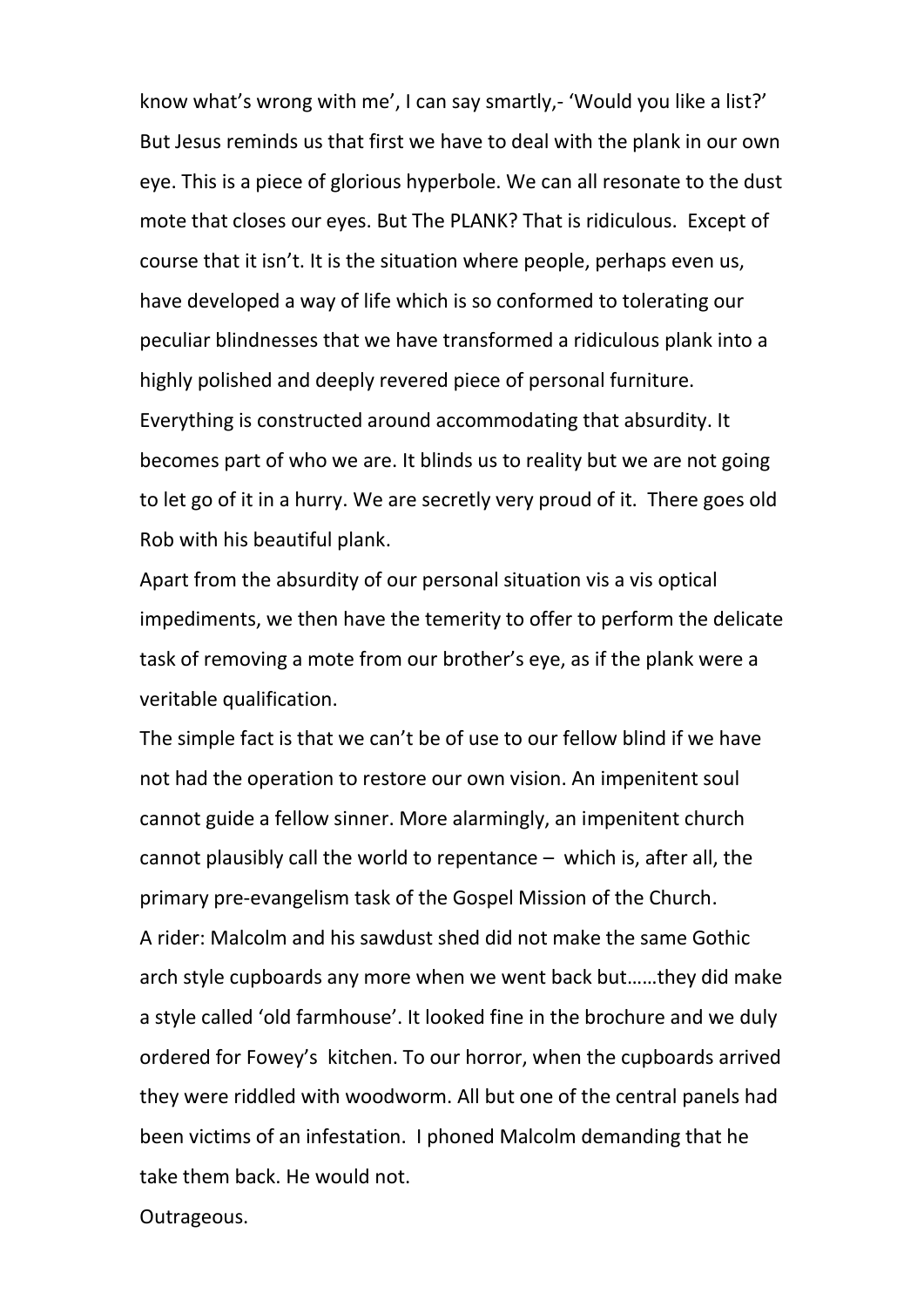know what's wrong with me', I can say smartly,- 'Would you like a list?' But Jesus reminds us that first we have to deal with the plank in our own eye. This is a piece of glorious hyperbole. We can all resonate to the dust mote that closes our eyes. But The PLANK? That is ridiculous. Except of course that it isn't. It is the situation where people, perhaps even us, have developed a way of life which is so conformed to tolerating our peculiar blindnesses that we have transformed a ridiculous plank into a highly polished and deeply revered piece of personal furniture. Everything is constructed around accommodating that absurdity. It becomes part of who we are. It blinds us to reality but we are not going to let go of it in a hurry. We are secretly very proud of it. There goes old Rob with his beautiful plank.

Apart from the absurdity of our personal situation vis a vis optical impediments, we then have the temerity to offer to perform the delicate task of removing a mote from our brother's eye, as if the plank were a veritable qualification.

The simple fact is that we can't be of use to our fellow blind if we have not had the operation to restore our own vision. An impenitent soul cannot guide a fellow sinner. More alarmingly, an impenitent church cannot plausibly call the world to repentance – which is, after all, the primary pre-evangelism task of the Gospel Mission of the Church. A rider: Malcolm and his sawdust shed did not make the same Gothic arch style cupboards any more when we went back but……they did make a style called 'old farmhouse'. It looked fine in the brochure and we duly ordered for Fowey's kitchen. To our horror, when the cupboards arrived they were riddled with woodworm. All but one of the central panels had been victims of an infestation. I phoned Malcolm demanding that he take them back. He would not.

Outrageous.